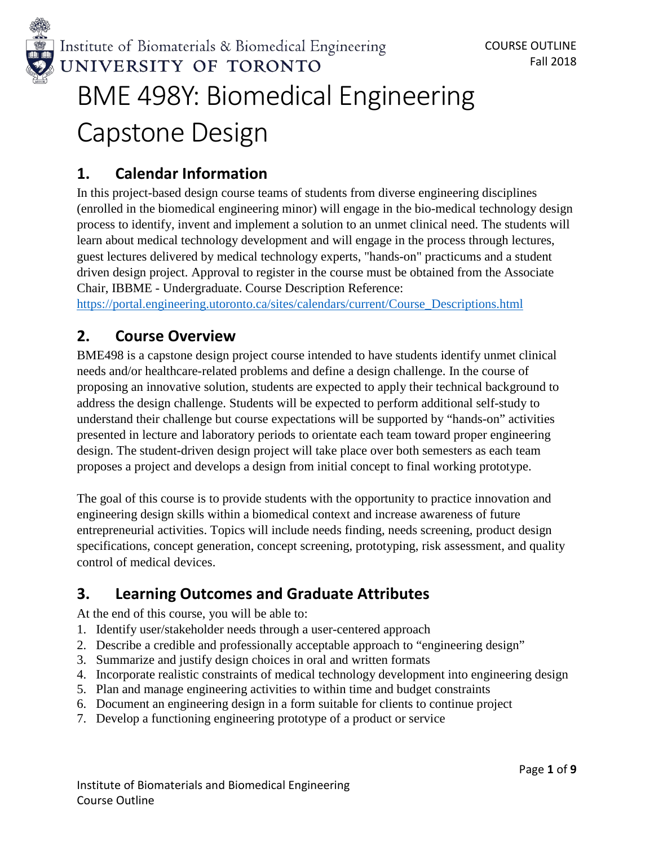

# Capstone Design

## **1. Calendar Information**

In this project-based design course teams of students from diverse engineering disciplines (enrolled in the biomedical engineering minor) will engage in the bio-medical technology design process to identify, invent and implement a solution to an unmet clinical need. The students will learn about medical technology development and will engage in the process through lectures, guest lectures delivered by medical technology experts, "hands-on" practicums and a student driven design project. Approval to register in the course must be obtained from the Associate Chair, IBBME - Undergraduate. Course Description Reference:

[https://portal.engineering.utoronto.ca/sites/calendars/current/Course\\_Descriptions.html](https://portal.engineering.utoronto.ca/sites/calendars/current/Course_Descriptions.html)

## **2. Course Overview**

BME498 is a capstone design project course intended to have students identify unmet clinical needs and/or healthcare-related problems and define a design challenge. In the course of proposing an innovative solution, students are expected to apply their technical background to address the design challenge. Students will be expected to perform additional self-study to understand their challenge but course expectations will be supported by "hands-on" activities presented in lecture and laboratory periods to orientate each team toward proper engineering design. The student-driven design project will take place over both semesters as each team proposes a project and develops a design from initial concept to final working prototype.

The goal of this course is to provide students with the opportunity to practice innovation and engineering design skills within a biomedical context and increase awareness of future entrepreneurial activities. Topics will include needs finding, needs screening, product design specifications, concept generation, concept screening, prototyping, risk assessment, and quality control of medical devices.

# **3. Learning Outcomes and Graduate Attributes**

At the end of this course, you will be able to:

- 1. Identify user/stakeholder needs through a user-centered approach
- 2. Describe a credible and professionally acceptable approach to "engineering design"
- 3. Summarize and justify design choices in oral and written formats
- 4. Incorporate realistic constraints of medical technology development into engineering design
- 5. Plan and manage engineering activities to within time and budget constraints
- 6. Document an engineering design in a form suitable for clients to continue project
- 7. Develop a functioning engineering prototype of a product or service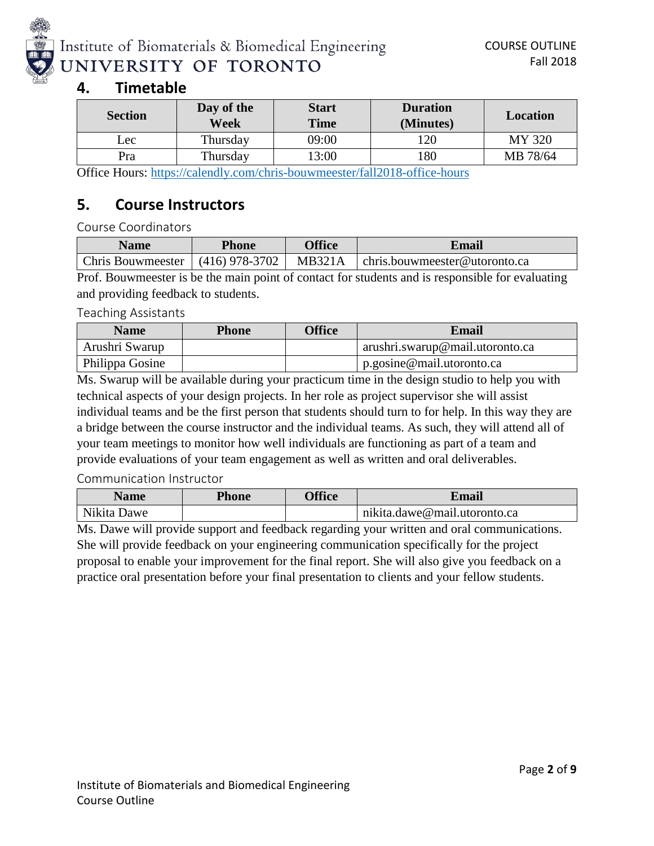

## **4. Timetable**

| <b>Section</b> | Day of the<br>Week | <b>Start</b><br><b>Time</b> | <b>Duration</b><br>(Minutes) | <b>Location</b> |
|----------------|--------------------|-----------------------------|------------------------------|-----------------|
| Lec            | Thursday           | 09:00                       | 20                           | MY 320          |
| Pra            | Thursday           | 13:00                       | 80                           | MB 78/64        |

Office Hours:<https://calendly.com/chris-bouwmeester/fall2018-office-hours>

## **5. Course Instructors**

Course Coordinators

| <b>Name</b> | <b>Phone</b> | <b>Office</b> | <b>Email</b>                                                                |
|-------------|--------------|---------------|-----------------------------------------------------------------------------|
|             |              |               | Chris Bouwmeester   (416) 978-3702   MB321A   chris.bouwmeester@utoronto.ca |

Prof. Bouwmeester is be the main point of contact for students and is responsible for evaluating and providing feedback to students.

#### Teaching Assistants

| <b>Name</b>     | <b>Phone</b> | <b>Office</b> | <b>Email</b>                    |
|-----------------|--------------|---------------|---------------------------------|
| Arushri Swarup  |              |               | arushri.swarup@mail.utoronto.ca |
| Philippa Gosine |              |               | p.gosine@mail.utoronto.ca       |

Ms. Swarup will be available during your practicum time in the design studio to help you with technical aspects of your design projects. In her role as project supervisor she will assist individual teams and be the first person that students should turn to for help. In this way they are a bridge between the course instructor and the individual teams. As such, they will attend all of your team meetings to monitor how well individuals are functioning as part of a team and provide evaluations of your team engagement as well as written and oral deliverables.

### Communication Instructor

| Name                              | <b>Phone</b> | <b>Office</b> | ⊻maıl                        |
|-----------------------------------|--------------|---------------|------------------------------|
| <b>AT'1</b> '<br>Nikita l<br>Jawe |              |               | nikita.dawe@mail.utoronto.ca |

Ms. Dawe will provide support and feedback regarding your written and oral communications. She will provide feedback on your engineering communication specifically for the project proposal to enable your improvement for the final report. She will also give you feedback on a practice oral presentation before your final presentation to clients and your fellow students.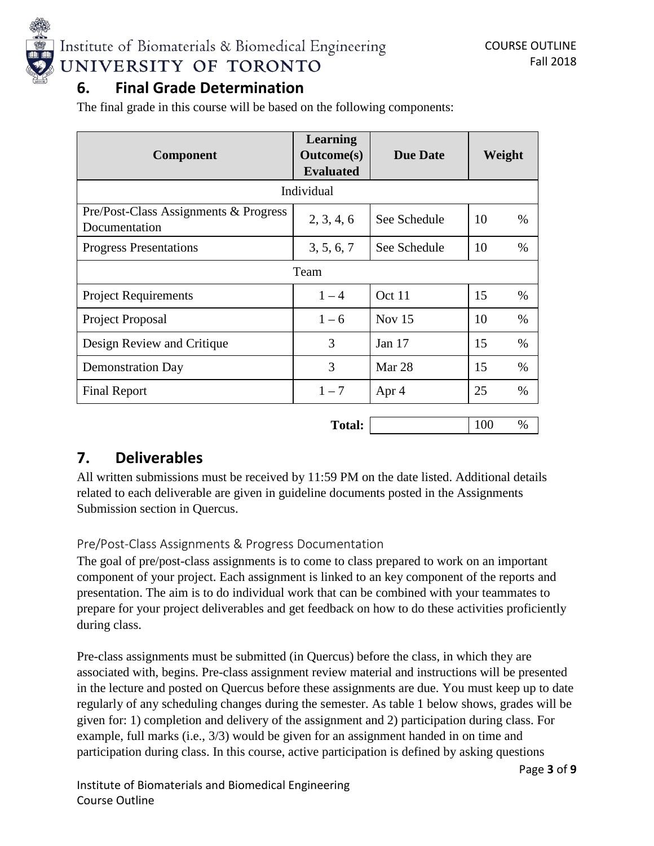

## **6. Final Grade Determination**

The final grade in this course will be based on the following components:

| <b>Component</b>                                       | Learning<br><b>Outcome</b> (s)<br><b>Evaluated</b> | <b>Due Date</b> | Weight      |
|--------------------------------------------------------|----------------------------------------------------|-----------------|-------------|
|                                                        | Individual                                         |                 |             |
| Pre/Post-Class Assignments & Progress<br>Documentation | 2, 3, 4, 6                                         | See Schedule    | 10<br>%     |
| <b>Progress Presentations</b>                          | 3, 5, 6, 7                                         | See Schedule    | 10<br>$\%$  |
|                                                        | Team                                               |                 |             |
| <b>Project Requirements</b>                            | $1 - 4$                                            | Oct 11          | 15<br>%     |
| Project Proposal                                       | $1 - 6$                                            | Nov $15$        | 10<br>$\%$  |
| Design Review and Critique                             | 3                                                  | Jan $17$        | 15<br>$\%$  |
| <b>Demonstration Day</b>                               | 3                                                  | Mar 28          | 15<br>$\%$  |
| <b>Final Report</b>                                    | $1 - 7$                                            | Apr 4           | 25<br>%     |
|                                                        | <b>Total:</b>                                      |                 | 100<br>$\%$ |

## **7. Deliverables**

All written submissions must be received by 11:59 PM on the date listed. Additional details related to each deliverable are given in guideline documents posted in the Assignments Submission section in Quercus.

## Pre/Post-Class Assignments & Progress Documentation

The goal of pre/post-class assignments is to come to class prepared to work on an important component of your project. Each assignment is linked to an key component of the reports and presentation. The aim is to do individual work that can be combined with your teammates to prepare for your project deliverables and get feedback on how to do these activities proficiently during class.

Pre-class assignments must be submitted (in Quercus) before the class, in which they are associated with, begins. Pre-class assignment review material and instructions will be presented in the lecture and posted on Quercus before these assignments are due. You must keep up to date regularly of any scheduling changes during the semester. As table 1 below shows, grades will be given for: 1) completion and delivery of the assignment and 2) participation during class. For example, full marks (i.e., 3/3) would be given for an assignment handed in on time and participation during class. In this course, active participation is defined by asking questions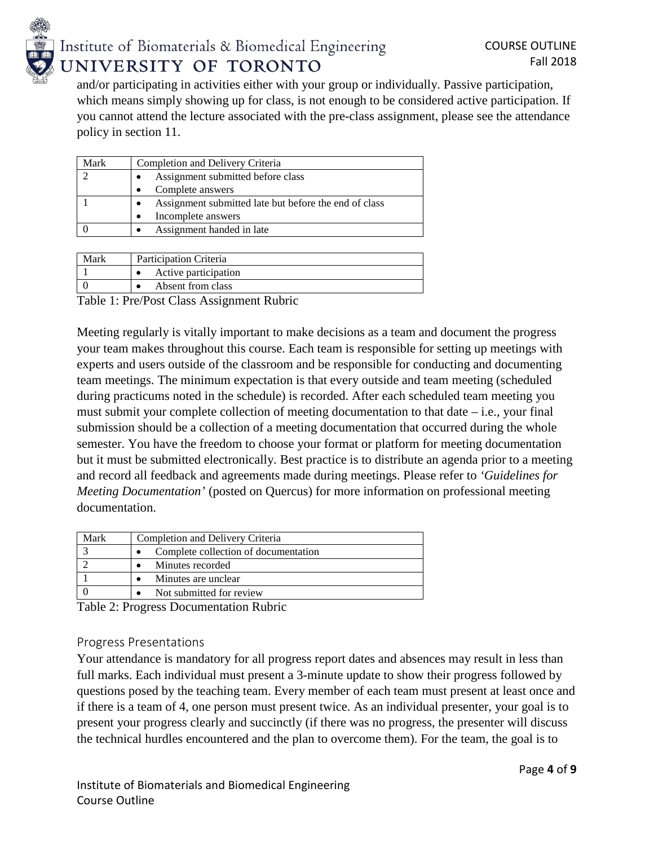

and/or participating in activities either with your group or individually. Passive participation, which means simply showing up for class, is not enough to be considered active participation. If you cannot attend the lecture associated with the pre-class assignment, please see the attendance policy in section 11.

| Mark | Completion and Delivery Criteria                      |
|------|-------------------------------------------------------|
|      | Assignment submitted before class                     |
|      | Complete answers                                      |
|      | Assignment submitted late but before the end of class |
|      | Incomplete answers                                    |
|      | Assignment handed in late                             |
|      |                                                       |

| Mark | Participation Criteria |
|------|------------------------|
|      | Active participation   |
|      | Absent from class      |

Table 1: Pre/Post Class Assignment Rubric

Meeting regularly is vitally important to make decisions as a team and document the progress your team makes throughout this course. Each team is responsible for setting up meetings with experts and users outside of the classroom and be responsible for conducting and documenting team meetings. The minimum expectation is that every outside and team meeting (scheduled during practicums noted in the schedule) is recorded. After each scheduled team meeting you must submit your complete collection of meeting documentation to that date  $-$  i.e., your final submission should be a collection of a meeting documentation that occurred during the whole semester. You have the freedom to choose your format or platform for meeting documentation but it must be submitted electronically. Best practice is to distribute an agenda prior to a meeting and record all feedback and agreements made during meetings. Please refer to *'Guidelines for Meeting Documentation'* (posted on Quercus) for more information on professional meeting documentation.

| Mark | Completion and Delivery Criteria     |
|------|--------------------------------------|
|      | Complete collection of documentation |
|      | Minutes recorded                     |
|      | Minutes are unclear                  |
|      | Not submitted for review             |

Table 2: Progress Documentation Rubric

### Progress Presentations

Your attendance is mandatory for all progress report dates and absences may result in less than full marks. Each individual must present a 3-minute update to show their progress followed by questions posed by the teaching team. Every member of each team must present at least once and if there is a team of 4, one person must present twice. As an individual presenter, your goal is to present your progress clearly and succinctly (if there was no progress, the presenter will discuss the technical hurdles encountered and the plan to overcome them). For the team, the goal is to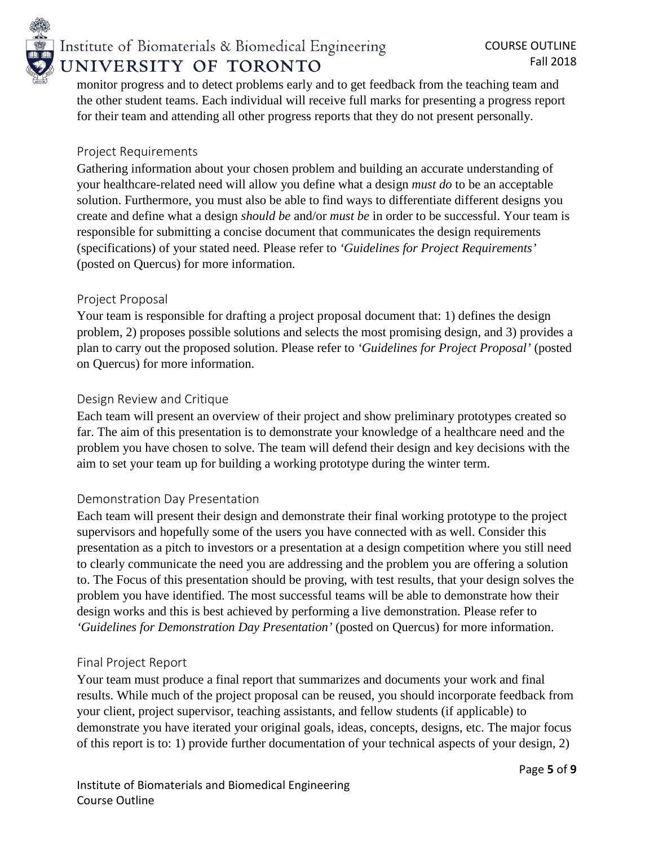

## Institute of Biomaterials & Biomedical Engineering UNIVERSITY OF TORONTO

monitor progress and to detect problems early and to get feedback from the teaching team and the other student teams. Each individual will receive full marks for presenting a progress report for their team and attending all other progress reports that they do not present personally.

## Project Requirements

Gathering information about your chosen problem and building an accurate understanding of your healthcare-related need will allow you define what a design *must do* to be an acceptable solution. Furthermore, you must also be able to find ways to differentiate different designs you create and define what a design *should be* and/or *must be* in order to be successful. Your team is responsible for submitting a concise document that communicates the design requirements (specifications) of your stated need. Please refer to *'Guidelines for Project Requirements'* (posted on Quercus) for more information.

## Project Proposal

Your team is responsible for drafting a project proposal document that: 1) defines the design problem, 2) proposes possible solutions and selects the most promising design, and 3) provides a plan to carry out the proposed solution. Please refer to *'Guidelines for Project Proposal'* (posted on Quercus) for more information.

## Design Review and Critique

Each team will present an overview of their project and show preliminary prototypes created so far. The aim of this presentation is to demonstrate your knowledge of a healthcare need and the problem you have chosen to solve. The team will defend their design and key decisions with the aim to set your team up for building a working prototype during the winter term.

## Demonstration Day Presentation

Each team will present their design and demonstrate their final working prototype to the project supervisors and hopefully some of the users you have connected with as well. Consider this presentation as a pitch to investors or a presentation at a design competition where you still need to clearly communicate the need you are addressing and the problem you are offering a solution to. The Focus of this presentation should be proving, with test results, that your design solves the problem you have identified. The most successful teams will be able to demonstrate how their design works and this is best achieved by performing a live demonstration. Please refer to *'Guidelines for Demonstration Day Presentation'* (posted on Quercus) for more information.

### Final Project Report

Your team must produce a final report that summarizes and documents your work and final results. While much of the project proposal can be reused, you should incorporate feedback from your client, project supervisor, teaching assistants, and fellow students (if applicable) to demonstrate you have iterated your original goals, ideas, concepts, designs, etc. The major focus of this report is to: 1) provide further documentation of your technical aspects of your design, 2)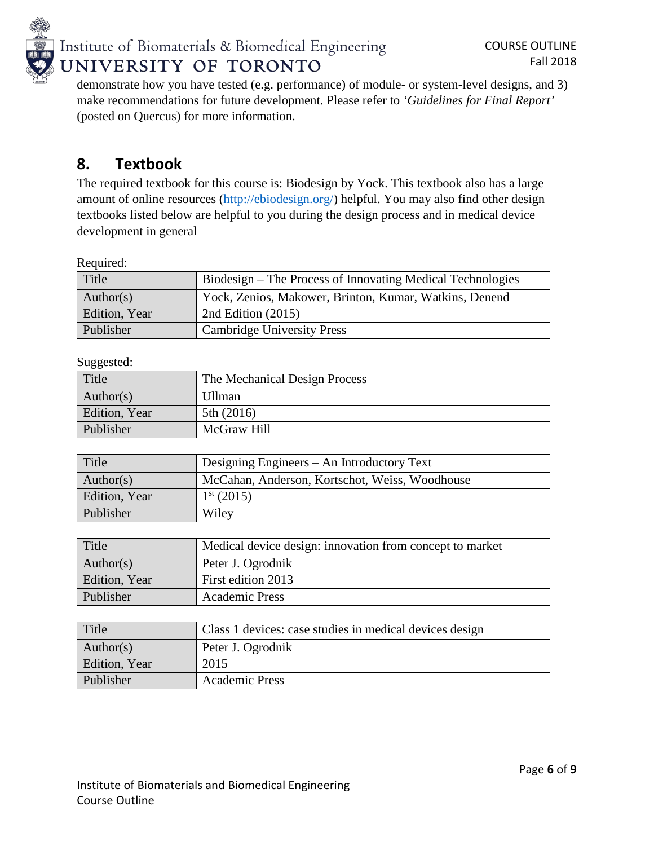

demonstrate how you have tested (e.g. performance) of module- or system-level designs, and 3) make recommendations for future development. Please refer to *'Guidelines for Final Report'* (posted on Quercus) for more information.

## **8. Textbook**

The required textbook for this course is: Biodesign by Yock. This textbook also has a large amount of online resources [\(http://ebiodesign.org/\)](http://ebiodesign.org/) helpful. You may also find other design textbooks listed below are helpful to you during the design process and in medical device development in general

Required:

| Title         | Biodesign – The Process of Innovating Medical Technologies |
|---------------|------------------------------------------------------------|
| Author(s)     | Yock, Zenios, Makower, Brinton, Kumar, Watkins, Denend     |
| Edition, Year | 2nd Edition $(2015)$                                       |
| Publisher     | Cambridge University Press                                 |

Suggested:

| Title         | The Mechanical Design Process |
|---------------|-------------------------------|
| Author(s)     | Ullman                        |
| Edition, Year | 5th $(2016)$                  |
| Publisher     | McGraw Hill                   |

| Title         | Designing Engineers – An Introductory Text     |
|---------------|------------------------------------------------|
| Author(s)     | McCahan, Anderson, Kortschot, Weiss, Woodhouse |
| Edition, Year | $1^{\rm st}$ (2015)                            |
| Publisher     | Wiley                                          |

| Title         | Medical device design: innovation from concept to market |
|---------------|----------------------------------------------------------|
| Author(s)     | Peter J. Ogrodnik                                        |
| Edition, Year | First edition 2013                                       |
| Publisher     | <b>Academic Press</b>                                    |

| Title         | Class 1 devices: case studies in medical devices design |
|---------------|---------------------------------------------------------|
| Author(s)     | Peter J. Ogrodnik                                       |
| Edition, Year | 2015                                                    |
| Publisher     | <b>Academic Press</b>                                   |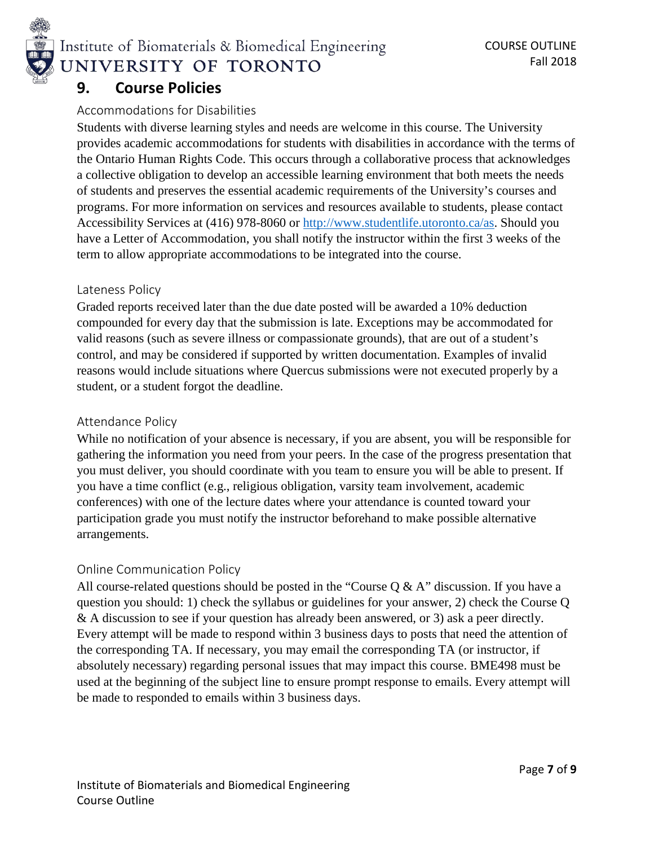

Institute of Biomaterials & Biomedical Engineering UNIVERSITY OF TORONTO

## **9. Course Policies**

## Accommodations for Disabilities

Students with diverse learning styles and needs are welcome in this course. The University provides academic accommodations for students with disabilities in accordance with the terms of the Ontario Human Rights Code. This occurs through a collaborative process that acknowledges a collective obligation to develop an accessible learning environment that both meets the needs of students and preserves the essential academic requirements of the University's courses and programs. For more information on services and resources available to students, please contact Accessibility Services at (416) 978-8060 or [http://www.studentlife.utoronto.ca/as.](http://www.studentlife.utoronto.ca/as) Should you have a Letter of Accommodation, you shall notify the instructor within the first 3 weeks of the term to allow appropriate accommodations to be integrated into the course.

### Lateness Policy

Graded reports received later than the due date posted will be awarded a 10% deduction compounded for every day that the submission is late. Exceptions may be accommodated for valid reasons (such as severe illness or compassionate grounds), that are out of a student's control, and may be considered if supported by written documentation. Examples of invalid reasons would include situations where Quercus submissions were not executed properly by a student, or a student forgot the deadline.

### Attendance Policy

While no notification of your absence is necessary, if you are absent, you will be responsible for gathering the information you need from your peers. In the case of the progress presentation that you must deliver, you should coordinate with you team to ensure you will be able to present. If you have a time conflict (e.g., religious obligation, varsity team involvement, academic conferences) with one of the lecture dates where your attendance is counted toward your participation grade you must notify the instructor beforehand to make possible alternative arrangements.

## Online Communication Policy

All course-related questions should be posted in the "Course  $Q & A$ " discussion. If you have a question you should: 1) check the syllabus or guidelines for your answer, 2) check the Course Q & A discussion to see if your question has already been answered, or 3) ask a peer directly. Every attempt will be made to respond within 3 business days to posts that need the attention of the corresponding TA. If necessary, you may email the corresponding TA (or instructor, if absolutely necessary) regarding personal issues that may impact this course. BME498 must be used at the beginning of the subject line to ensure prompt response to emails. Every attempt will be made to responded to emails within 3 business days.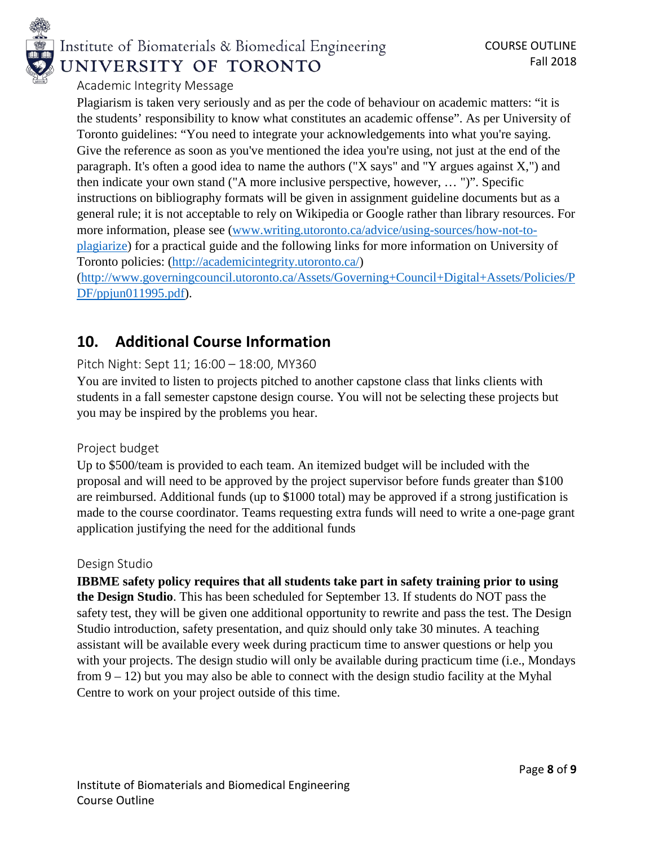

# Institute of Biomaterials & Biomedical Engineering UNIVERSITY OF TORONTO

## Academic Integrity Message

Plagiarism is taken very seriously and as per the code of behaviour on academic matters: "it is the students' responsibility to know what constitutes an academic offense". As per University of Toronto guidelines: "You need to integrate your acknowledgements into what you're saying. Give the reference as soon as you've mentioned the idea you're using, not just at the end of the paragraph. It's often a good idea to name the authors ("X says" and "Y argues against X,") and then indicate your own stand ("A more inclusive perspective, however, … ")". Specific instructions on bibliography formats will be given in assignment guideline documents but as a general rule; it is not acceptable to rely on Wikipedia or Google rather than library resources. For more information, please see (www.writing.utoronto.ca/advice/using-sources/how-not-toplagiarize) for a practical guide and the following links for more information on University of Toronto policies: [\(http://academicintegrity.utoronto.ca/\)](http://academicintegrity.utoronto.ca/) [\(http://www.governingcouncil.utoronto.ca/Assets/Governing+Council+Digital+Assets/Policies/P](http://www.governingcouncil.utoronto.ca/Assets/Governing+Council+Digital+Assets/Policies/PDF/ppjun011995.pdf)

[DF/ppjun011995.pdf\)](http://www.governingcouncil.utoronto.ca/Assets/Governing+Council+Digital+Assets/Policies/PDF/ppjun011995.pdf).

## **10. Additional Course Information**

## Pitch Night: Sept 11; 16:00 – 18:00, MY360

You are invited to listen to projects pitched to another capstone class that links clients with students in a fall semester capstone design course. You will not be selecting these projects but you may be inspired by the problems you hear.

## Project budget

Up to \$500/team is provided to each team. An itemized budget will be included with the proposal and will need to be approved by the project supervisor before funds greater than \$100 are reimbursed. Additional funds (up to \$1000 total) may be approved if a strong justification is made to the course coordinator. Teams requesting extra funds will need to write a one-page grant application justifying the need for the additional funds

### Design Studio

**IBBME safety policy requires that all students take part in safety training prior to using the Design Studio**. This has been scheduled for September 13. If students do NOT pass the safety test, they will be given one additional opportunity to rewrite and pass the test. The Design Studio introduction, safety presentation, and quiz should only take 30 minutes. A teaching assistant will be available every week during practicum time to answer questions or help you with your projects. The design studio will only be available during practicum time (i.e., Mondays from  $9 - 12$ ) but you may also be able to connect with the design studio facility at the Myhal Centre to work on your project outside of this time.